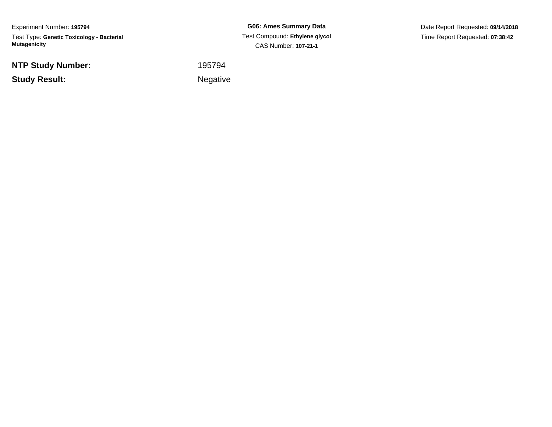Experiment Number: **195794**Test Type: **Genetic Toxicology - Bacterial Mutagenicity**

**NTP Study Number:**

**Study Result:**

**G06: Ames Summary Data** Test Compound: **Ethylene glycol** CAS Number: **107-21-1**

Date Report Requested: **09/14/2018**Time Report Requested: **07:38:42**

<sup>195794</sup>

**Example 2** is the contract of the Negative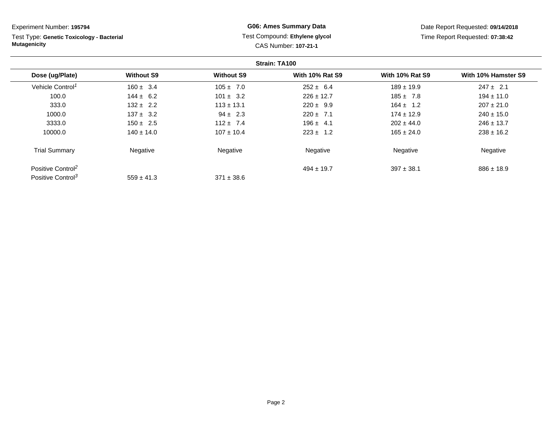Test Type: **Genetic Toxicology - Bacterial Mutagenicity**

### **G06: Ames Summary Data** Test Compound: **Ethylene glycol**CAS Number: **107-21-1**

Date Report Requested: **09/14/2018**Time Report Requested: **07:38:42**

|                               |                   |                   | Strain: TA100          |                        |                     |
|-------------------------------|-------------------|-------------------|------------------------|------------------------|---------------------|
| Dose (ug/Plate)               | <b>Without S9</b> | <b>Without S9</b> | <b>With 10% Rat S9</b> | <b>With 10% Rat S9</b> | With 10% Hamster S9 |
| Vehicle Control <sup>1</sup>  | $160 \pm 3.4$     | $105 \pm 7.0$     | $252 \pm 6.4$          | $189 \pm 19.9$         | $247 \pm 2.1$       |
| 100.0                         | $144 \pm 6.2$     | $101 \pm 3.2$     | $226 \pm 12.7$         | $185 \pm 7.8$          | $194 \pm 11.0$      |
| 333.0                         | $132 \pm 2.2$     | $113 \pm 13.1$    | $220 \pm 9.9$          | $164 \pm 1.2$          | $207 \pm 21.0$      |
| 1000.0                        | $137 \pm 3.2$     | $94 \pm 2.3$      | $220 \pm 7.1$          | $174 \pm 12.9$         | $240 \pm 15.0$      |
| 3333.0                        | $150 \pm 2.5$     | $112 + 7.4$       | $196 \pm 4.1$          | $202 \pm 44.0$         | $246 \pm 13.7$      |
| 10000.0                       | $140 \pm 14.0$    | $107 \pm 10.4$    | $223 \pm 1.2$          | $165 \pm 24.0$         | $238 \pm 16.2$      |
| <b>Trial Summary</b>          | Negative          | Negative          | Negative               | Negative               | Negative            |
| Positive Control <sup>2</sup> |                   |                   | $494 \pm 19.7$         | $397 \pm 38.1$         | $886 \pm 18.9$      |
| Positive Control <sup>3</sup> | $559 \pm 41.3$    | $371 \pm 38.6$    |                        |                        |                     |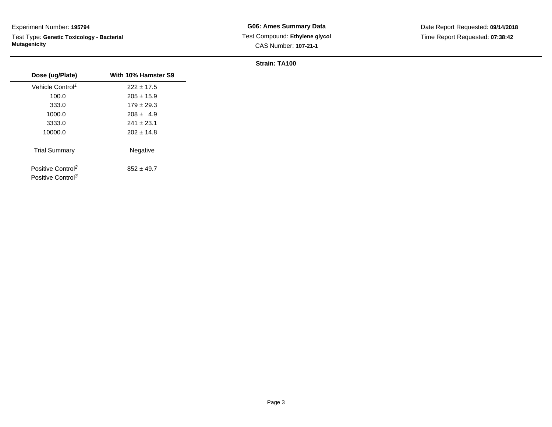Test Type: **Genetic Toxicology - Bacterial Mutagenicity**

**G06: Ames Summary Data** Test Compound: **Ethylene glycol**CAS Number: **107-21-1**

| Dose (ug/Plate)                                                | With 10% Hamster S9 |
|----------------------------------------------------------------|---------------------|
| Vehicle Control <sup>1</sup>                                   | $222 \pm 17.5$      |
| 100.0                                                          | $205 \pm 15.9$      |
| 333.0                                                          | $179 \pm 29.3$      |
| 1000.0                                                         | $208 \pm 4.9$       |
| 3333.0                                                         | $241 \pm 23.1$      |
| 10000.0                                                        | $202 \pm 14.8$      |
| <b>Trial Summary</b>                                           | Negative            |
| Positive Control <sup>2</sup><br>Positive Control <sup>3</sup> | $852 \pm 49.7$      |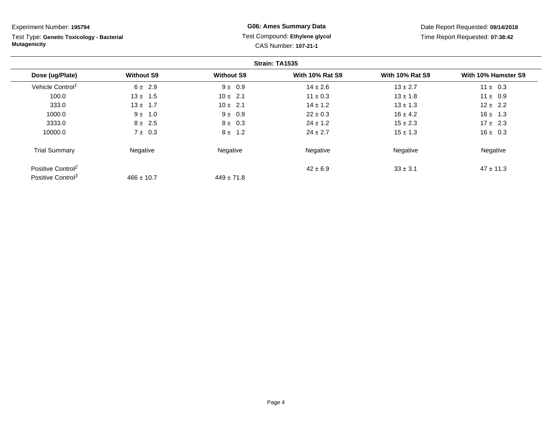**Strain: TA1535Dose (ug/Plate) Without S9 Without S9 With 10% Rat S9 With 10% Rat S9 With 10% Hamster S9** Vehicle Control<sup>1</sup>  $6 ± 2.9$ 9  $9 \pm 0.9$   $14 \pm 2.6$   $13 \pm 2.7$   $11 \pm 0.3$ 100.00  $13 \pm 1.5$  10  $\pm 2.1$  11  $\pm 0.3$  13  $\pm 1.8$  11  $\pm 0.9$ Experiment Number: **195794**Test Type: **Genetic Toxicology - BacterialMutagenicityG06: Ames Summary Data** Test Compound: **Ethylene glycol**CAS Number: **107-21-1**Date Report Requested: **09/14/2018**Time Report Requested: **07:38:42**

0  $13 \pm 1.7$  10  $\pm 2.1$  14  $\pm 1.2$  13  $\pm 1.3$  12  $\pm 2.2$ 

0  $9 \pm 1.0$   $9 \pm 0.9$   $22 \pm 0.3$   $16 \pm 4.2$   $16 \pm 1.3$ 

0  $8 \pm 2.5$   $8 \pm 0.3$   $24 \pm 1.2$   $15 \pm 2.3$   $17 \pm 2.3$ 

0  $7 \pm 0.3$   $8 \pm 1.2$   $24 \pm 2.7$   $15 \pm 1.3$   $16 \pm 0.3$ 

e **Negative Regative** Negative Negative Negative Regative Negative

9  $33 \pm 3.1$   $47 \pm 11.3$ 

333.0

1000.0

3333.0

10000.0

Trial Summary

Positive Control<sup>2</sup>

Positive Control<sup>3</sup>

Negative

 $466 \pm 10.7$ 

 $42 \pm 6.9$ 

 $449 \pm 71.8$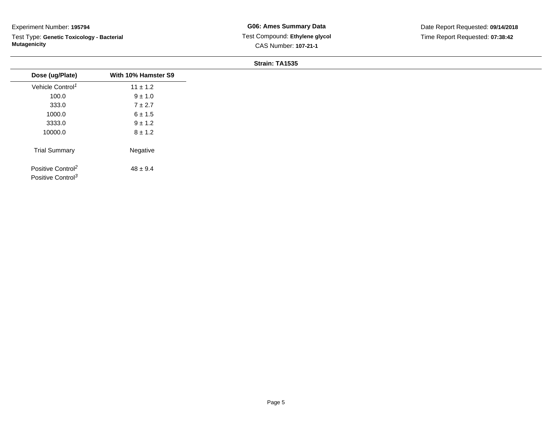Test Type: **Genetic Toxicology - Bacterial Mutagenicity**

| Dose (ug/Plate)                                                | With 10% Hamster S9 |
|----------------------------------------------------------------|---------------------|
| Vehicle Control <sup>1</sup>                                   | $11 \pm 1.2$        |
| 100.0                                                          | $9 \pm 1.0$         |
| 333.0                                                          | $7 \pm 2.7$         |
| 1000.0                                                         | $6 \pm 1.5$         |
| 3333.0                                                         | $9 \pm 1.2$         |
| 10000.0                                                        | $8 \pm 1.2$         |
| <b>Trial Summary</b>                                           | Negative            |
| Positive Control <sup>2</sup><br>Positive Control <sup>3</sup> | $48 \pm 9.4$        |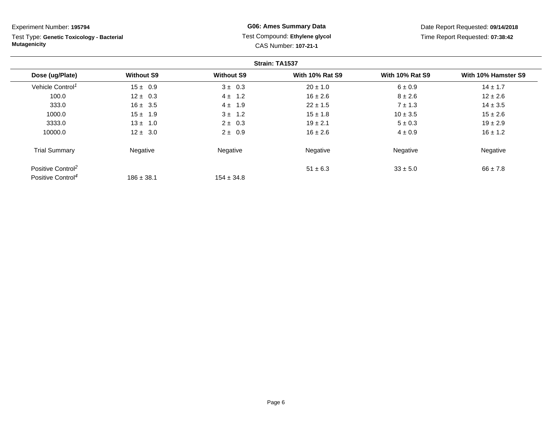Test Type: **Genetic Toxicology - Bacterial Mutagenicity**

### **G06: Ames Summary Data** Test Compound: **Ethylene glycol**CAS Number: **107-21-1**

Date Report Requested: **09/14/2018**Time Report Requested: **07:38:42**

|                               |                   |                   | Strain: TA1537         |                        |                     |
|-------------------------------|-------------------|-------------------|------------------------|------------------------|---------------------|
| Dose (ug/Plate)               | <b>Without S9</b> | <b>Without S9</b> | <b>With 10% Rat S9</b> | <b>With 10% Rat S9</b> | With 10% Hamster S9 |
| Vehicle Control <sup>1</sup>  | $15 \pm 0.9$      | $3 \pm 0.3$       | $20 \pm 1.0$           | 6 ± 0.9                | $14 \pm 1.7$        |
| 100.0                         | $12 \pm 0.3$      | $4 \pm 1.2$       | $16 \pm 2.6$           | $8 \pm 2.6$            | $12 \pm 2.6$        |
| 333.0                         | $16 \pm 3.5$      | $4 \pm 1.9$       | $22 \pm 1.5$           | $7 \pm 1.3$            | $14 \pm 3.5$        |
| 1000.0                        | $15 \pm 1.9$      | $3 \pm 1.2$       | $15 \pm 1.8$           | $10 \pm 3.5$           | $15 \pm 2.6$        |
| 3333.0                        | $13 \pm 1.0$      | $2 \pm 0.3$       | $19 \pm 2.1$           | $5 \pm 0.3$            | $19 \pm 2.9$        |
| 10000.0                       | $12 \pm 3.0$      | $2 \pm 0.9$       | $16 \pm 2.6$           | $4 \pm 0.9$            | $16 \pm 1.2$        |
| <b>Trial Summary</b>          | Negative          | Negative          | Negative               | Negative               | Negative            |
| Positive Control <sup>2</sup> |                   |                   | $51 \pm 6.3$           | $33 \pm 5.0$           | $66 \pm 7.8$        |
| Positive Control <sup>4</sup> | $186 \pm 38.1$    | $154 \pm 34.8$    |                        |                        |                     |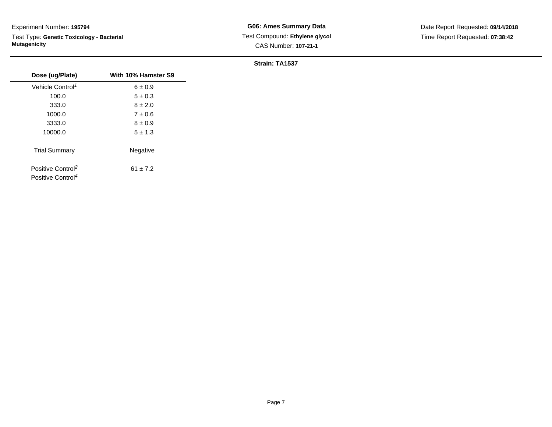Test Type: **Genetic Toxicology - Bacterial Mutagenicity**

| Dose (ug/Plate)                                                | With 10% Hamster S9 |
|----------------------------------------------------------------|---------------------|
| Vehicle Control <sup>1</sup>                                   | $6 \pm 0.9$         |
| 100.0                                                          | $5 \pm 0.3$         |
| 333.0                                                          | $8 \pm 2.0$         |
| 1000.0                                                         | $7\pm0.6$           |
| 3333.0                                                         | $8 \pm 0.9$         |
| 10000.0                                                        | $5 \pm 1.3$         |
| <b>Trial Summary</b>                                           | Negative            |
| Positive Control <sup>2</sup><br>Positive Control <sup>4</sup> | $61 \pm 7.2$        |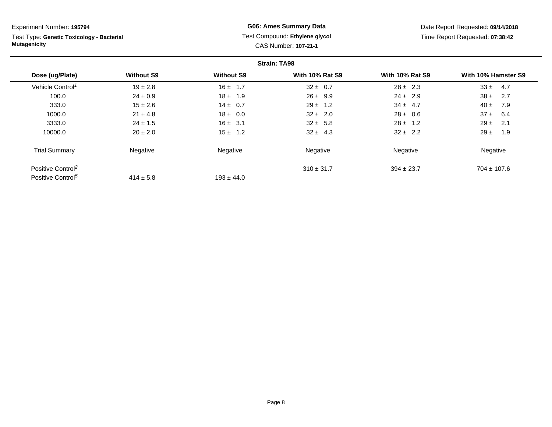Test Type: **Genetic Toxicology - Bacterial Mutagenicity**

### **G06: Ames Summary Data** Test Compound: **Ethylene glycol**CAS Number: **107-21-1**

Date Report Requested: **09/14/2018**Time Report Requested: **07:38:42**

|                               |                   |                   | <b>Strain: TA98</b>    |                        |                     |
|-------------------------------|-------------------|-------------------|------------------------|------------------------|---------------------|
| Dose (ug/Plate)               | <b>Without S9</b> | <b>Without S9</b> | <b>With 10% Rat S9</b> | <b>With 10% Rat S9</b> | With 10% Hamster S9 |
| Vehicle Control <sup>1</sup>  | $19 \pm 2.8$      | $16 \pm 1.7$      | $32 \pm 0.7$           | $28 \pm 2.3$           | $33 \pm$<br>4.7     |
| 100.0                         | $24 \pm 0.9$      | $18 \pm 1.9$      | $26 \pm 9.9$           | $24 \pm 2.9$           | $38 \pm$<br>2.7     |
| 333.0                         | $15 \pm 2.6$      | $14 \pm 0.7$      | $29 \pm 1.2$           | $34 \pm 4.7$           | $40 \pm$<br>7.9     |
| 1000.0                        | $21 \pm 4.8$      | $18 \pm 0.0$      | $32 \pm 2.0$           | $28 \pm 0.6$           | $37 \pm 6.4$        |
| 3333.0                        | $24 \pm 1.5$      | $16 \pm 3.1$      | $32 \pm 5.8$           | $28 \pm 1.2$           | $29 \pm$<br>2.1     |
| 10000.0                       | $20 \pm 2.0$      | $15 \pm 1.2$      | $32 \pm 4.3$           | $32 \pm 2.2$           | $29 \pm$<br>1.9     |
| <b>Trial Summary</b>          | Negative          | Negative          | Negative               | Negative               | Negative            |
| Positive Control <sup>2</sup> |                   |                   | $310 \pm 31.7$         | $394 \pm 23.7$         | $704 \pm 107.6$     |
| Positive Control <sup>5</sup> | $414 \pm 5.8$     | $193 \pm 44.0$    |                        |                        |                     |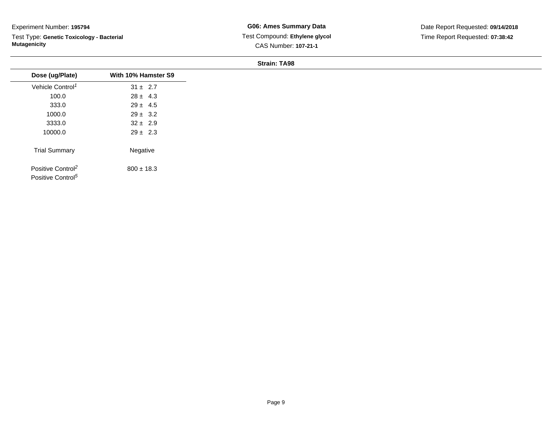Test Type: **Genetic Toxicology - Bacterial Mutagenicity**

**G06: Ames Summary Data** Test Compound: **Ethylene glycol**CAS Number: **107-21-1**

| Dose (ug/Plate)               | With 10% Hamster S9 |
|-------------------------------|---------------------|
|                               |                     |
| Vehicle Control <sup>1</sup>  | $31 \pm 2.7$        |
| 100.0                         | $28 \pm 4.3$        |
| 333.0                         | $29 \pm 4.5$        |
| 1000.0                        | $29 \pm 3.2$        |
| 3333.0                        | $32 \pm 2.9$        |
| 10000.0                       | $29 \pm 2.3$        |
| <b>Trial Summary</b>          | Negative            |
| Positive Control <sup>2</sup> | $800 \pm 18.3$      |
| Positive Control <sup>5</sup> |                     |